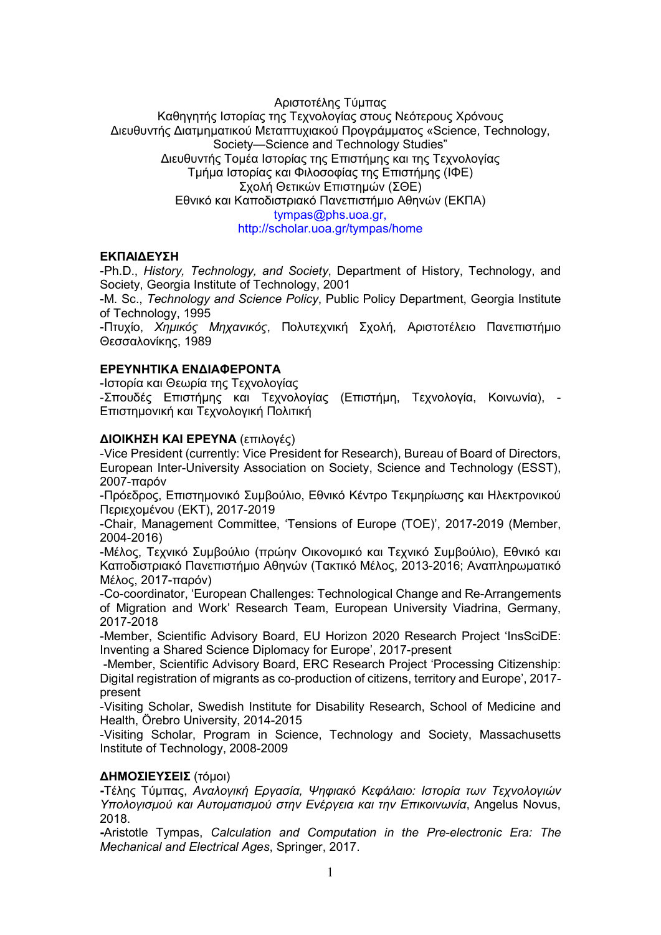# Αριστοτέλης Τύμπας Καθηγητής Ιστορίας της Τεχνολογίας στους Νεότερους Χρόνους Διευθυντής Διατμηματικού Μεταπτυχιακού Προγράμματος «Science, Technology, Society—Science and Technology Studies" Διευθυντής Τομέα Ιστορίας της Επιστήμης και της Τεχνολογίας Τμήμα Ιστορίας και Φιλοσοφίας της Επιστήμης (ΙΦΕ) Σχολή Θετικών Επιστημών (ΣΘΕ) Εθνικό και Καποδιστριακό Πανεπιστήμιο Αθηνών (ΕΚΠΑ) tympas@phs.uoa.gr, http://scholar.uoa.gr/tympas/home

# ΕΚΠΑΙΔΕΥΣΗ

-Ph.D., History, Technology, and Society, Department of History, Technology, and Society, Georgia Institute of Technology, 2001

-M. Sc., Technology and Science Policy, Public Policy Department, Georgia Institute of Technology, 1995

-Πτυχίο, Χημικός Μηχανικός, Πολυτεχνική Σχολή, Αριστοτέλειο Πανεπιστήμιο Θεσσαλονίκης, 1989

### ΕΡΕΥΝΗΤΙΚΑ ΕΝΔΙΑΦΕΡΟΝΤΑ

-Ιστορία και Θεωρία της Τεχνολογίας

-Σπουδές Επιστήμης και Τεχνολογίας (Επιστήμη, Τεχνολογία, Κοινωνία), - Επιστημονική και Τεχνολογική Πολιτική

#### ΔΙΟΙΚΗΣΗ ΚΑΙ ΕΡΕΥΝΑ (επιλογές)

-Vice President (currently: Vice President for Research), Bureau of Board of Directors, European Inter-University Association on Society, Science and Technology (ESST), 2007-παρόν

-Πρόεδρος, Επιστημονικό Συμβούλιο, Εθνικό Κέντρο Τεκμηρίωσης και Ηλεκτρονικού Περιεχομένου (ΕΚΤ), 2017-2019

-Chair, Management Committee, 'Tensions of Europe (TOE)', 2017-2019 (Member, 2004-2016)

-Μέλος, Τεχνικό Συμβούλιο (πρώην Οικονομικό και Τεχνικό Συμβούλιο), Εθνικό και Καποδιστριακό Πανεπιστήμιο Αθηνών (Τακτικό Μέλος, 2013-2016; Aναπληρωματικό Mέλος, 2017-παρόν)

-Co-coordinator, 'European Challenges: Technological Change and Re-Arrangements of Migration and Work' Research Team, European University Viadrina, Germany, 2017-2018

-Member, Scientific Advisory Board, EU Horizon 2020 Research Project 'InsSciDE: Inventing a Shared Science Diplomacy for Europe', 2017-present

 -Member, Scientific Advisory Board, ERC Research Project 'Processing Citizenship: Digital registration of migrants as co-production of citizens, territory and Europe', 2017 present

-Visiting Scholar, Swedish Institute for Disability Research, School of Medicine and Health, Örebro University, 2014-2015

-Visiting Scholar, Program in Science, Technology and Society, Massachusetts Institute of Technology, 2008-2009

#### ΔΗΜΟΣΙΕΥΣΕΙΣ (τόμοι)

-Τέλης Τύμπας, Αναλογική Εργασία, Ψηφιακό Κεφάλαιο: Ιστορία των Τεχνολογιών Υπολογισμού και Αυτοματισμού στην Ενέργεια και την Επικοινωνία, Angelus Novus, 2018.

-Aristotle Tympas, Calculation and Computation in the Pre-electronic Era: The Mechanical and Electrical Ages, Springer, 2017.